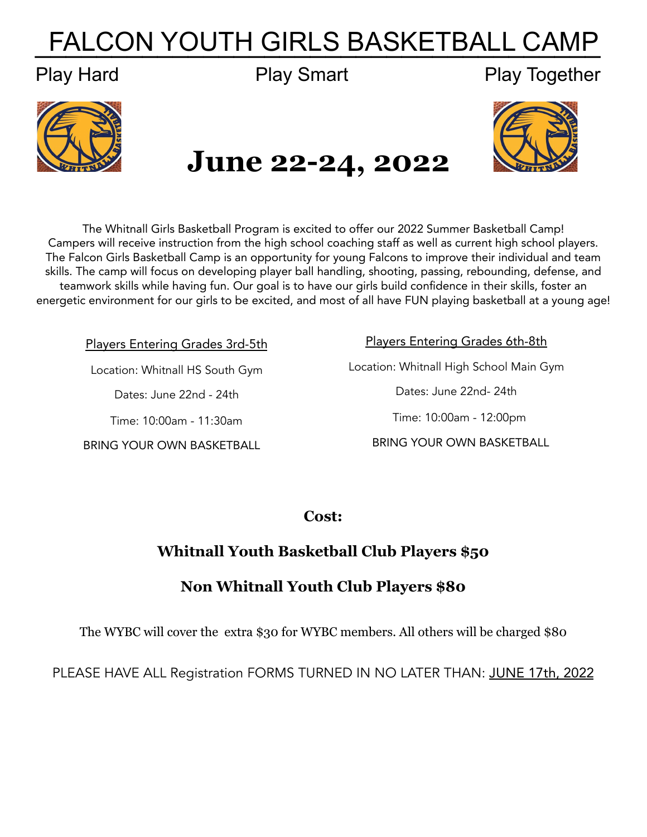# FALCON YOUTH GIRLS BASKETBALL CAMP

### Play Hard Play Smart Play Together



## **June 22-24, 2022**



The Whitnall Girls Basketball Program is excited to offer our 2022 Summer Basketball Camp! Campers will receive instruction from the high school coaching staff as well as current high school players. The Falcon Girls Basketball Camp is an opportunity for young Falcons to improve their individual and team skills. The camp will focus on developing player ball handling, shooting, passing, rebounding, defense, and teamwork skills while having fun. Our goal is to have our girls build confidence in their skills, foster an energetic environment for our girls to be excited, and most of all have FUN playing basketball at a young age!

Players Entering Grades 3rd-5th

Location: Whitnall HS South Gym

Dates: June 22nd - 24th

Time: 10:00am - 11:30am

BRING YOUR OWN BASKETBALL

Players Entering Grades 6th-8th Location: Whitnall High School Main Gym Dates: June 22nd- 24th Time: 10:00am - 12:00pm BRING YOUR OWN BASKETBALL

**Cost:**

#### **Whitnall Youth Basketball Club Players \$50**

#### **Non Whitnall Youth Club Players \$80**

The WYBC will cover the extra \$30 for WYBC members. All others will be charged \$80

PLEASE HAVE ALL Registration FORMS TURNED IN NO LATER THAN: JUNE 17th, 2022